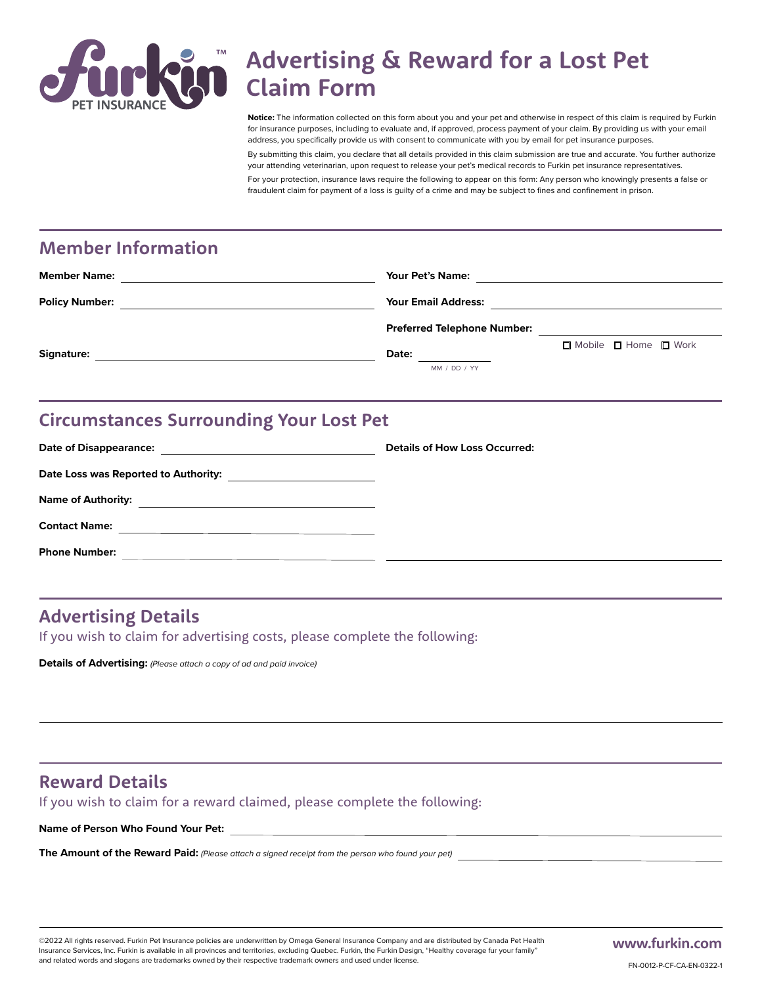

# **Advertising & Reward for a Lost Pet Claim Form**

**Notice:** The information collected on this form about you and your pet and otherwise in respect of this claim is required by Furkin for insurance purposes, including to evaluate and, if approved, process payment of your claim. By providing us with your email address, you specifically provide us with consent to communicate with you by email for pet insurance purposes.

By submitting this claim, you declare that all details provided in this claim submission are true and accurate. You further authorize your attending veterinarian, upon request to release your pet's medical records to Furkin pet insurance representatives. For your protection, insurance laws require the following to appear on this form: Any person who knowingly presents a false or fraudulent claim for payment of a loss is guilty of a crime and may be subject to fines and confinement in prison.

## **Member Information**

| <b>Member Name:</b>   | <b>Your Pet's Name:</b>                                        |
|-----------------------|----------------------------------------------------------------|
| <b>Policy Number:</b> | <b>Your Email Address:</b>                                     |
|                       | <b>Preferred Telephone Number:</b>                             |
| Signature:            | $\Box$ Mobile $\Box$ Home $\Box$ Work<br>Date:<br>MM / DD / YY |

## **Circumstances Surrounding Your Lost Pet**

| <b>Date of Disappearance:</b>                                                                                                                | <b>Details of How Loss Occurred:</b> |
|----------------------------------------------------------------------------------------------------------------------------------------------|--------------------------------------|
| Date Loss was Reported to Authority:<br><u> 1989 - Andrea State Barbara, amerikan personal (</u>                                             |                                      |
| <b>Name of Authority:</b><br>the control of the control of the control of the control of the control of the control of                       |                                      |
| <b>Contact Name:</b><br><u> 1989 - Johann John Stone, markin film yn y brening yn y brening yn y brening yn y brening y brening yn y bre</u> |                                      |
| <b>Phone Number:</b>                                                                                                                         |                                      |
|                                                                                                                                              |                                      |

## **Advertising Details**

If you wish to claim for advertising costs, please complete the following:

**Details of Advertising:** *(Please attach a copy of ad and paid invoice)*

## **Reward Details**

If you wish to claim for a reward claimed, please complete the following:

**Name of Person Who Found Your Pet:**

**The Amount of the Reward Paid:** *(Please attach a signed receipt from the person who found your pet)*

©2022 All rights reserved. Furkin Pet Insurance policies are underwritten by Omega General Insurance Company and are distributed by Canada Pet Health Insurance Services, Inc. Furkin is available in all provinces and territories, excluding Quebec. Furkin, the Furkin Design, "Healthy coverage fur your family" and related words and slogans are trademarks owned by their respective trademark owners and used under license.

**www.furkin.com**